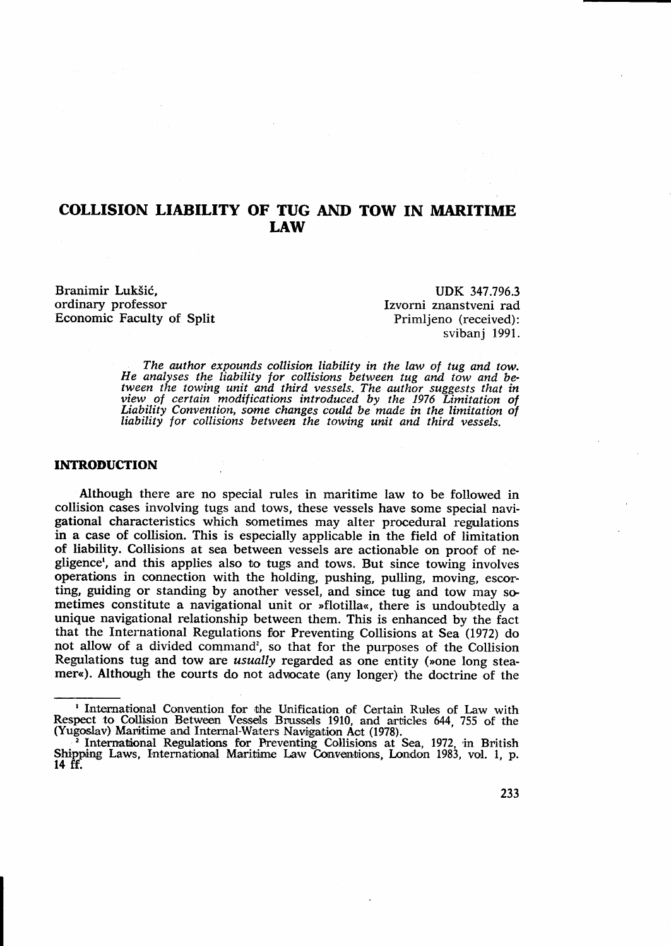# COLLISION LIABILITY OF TUG AND TOW IN MARITIME LAW

Branimir Lukšić. ordinary professor Economic Faculty of Split

UDK 347.796.3 Izvorni znanstveni rad Primlieno (received): svibanj 1991.

The author expounds collision liability in the law of tug and tow. He analyses the liability for collisions between tug and tow and be-<br>tween the towing unit and third vessels. The author suggests that in<br>view of certain modifications introduced by the 1976 Limitation of Liability Convention, some changes could be made in the limitation of liability for collisions between the towing unit and third vessels.

## INTRODUCTION

Although there are no special rules in maritime law to be followed in collision cases involving tugs and tows, these vessels have some special navigational characteristics which sometimes may alter procedural regmlations in a case of collision. This is especially applicable in the field of limitation of liability. Collisions at sea between vessels are actionable on proof of negligence<sup>t</sup>, and this applies also to tugs and tows. But since towing involves operations in connection with the holding, pushing, pulling, moving, escorting, guiding or standing by another vessel, and since tug and tow may sometimes constitute a navigational unit or "flotilla<, there is undoubtedly <sup>a</sup> unique navigational relationship between them. This is enhanced by the fact that the International Regulations for Preventing Collisions at Sea (1972) do not allow of a divided command', so that for the purposes of the Collision Regulations tug and tow are *usually* regarded as one entity (»one long steamer«). Although the courts do not advocate (any longer) the doctrine of the

I International Convention for the Unification of Certain Rules of Law with Respect to-Collision Between Vessels Brussels 1910, and articles 644, 755 of the (Yugoslav) Maritime and Internal-Waters Navigation Act (1978).

<sup>&</sup>lt;sup>2</sup> International Regulations for Preventing Collisions at Sea, 1972, in British Shipping Laws, International Maritime Law Conventions, London 1983, vol. 1, p. 14 tr.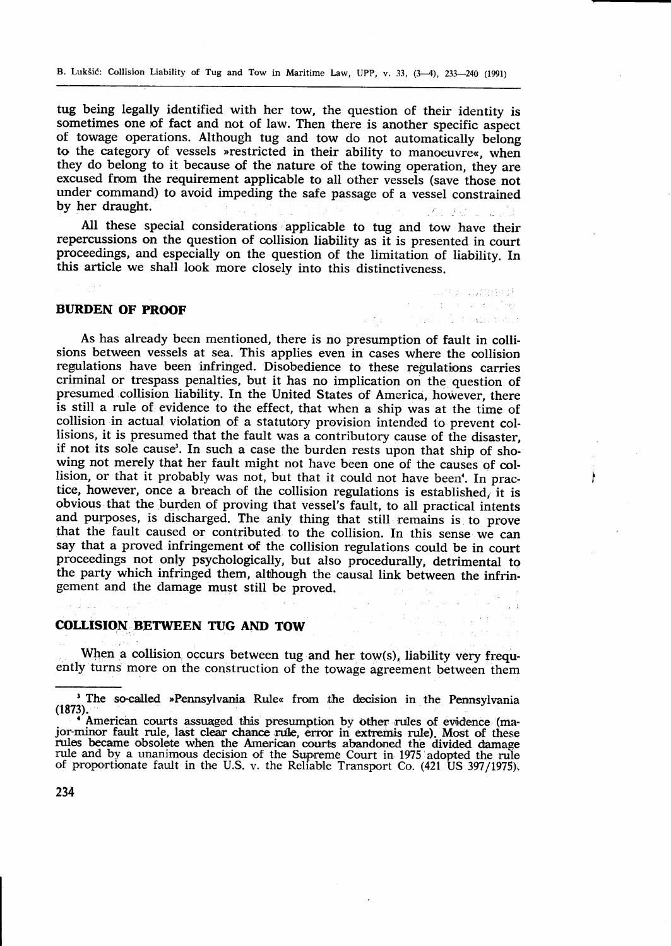B. Lukšić: Collision Liability of Tug and Tow in Maritime Law, UPP, v. 33,  $(3-4)$ ,  $233-240$  (1991)

tug being legally identified with her tow, the question of their identity is sometimes one of fact and not of law. Then there is another specific aspect of towage operations. Although tug and tow do not automatically belong to the category of vessels »restricted in their ability to manoeuvre«, when they do belong to it because of the nature of the towing operation, they are excused from the requirement applicable to all other vessels (save those not under command) to avoid impeding the safe passage of a vessel constrained by her draught.

All these special considerations applicable to tug and tow have their repercussions on the question of collision liability as it is presented in court proceedings, and especially on the question of the limitation of liability. In this article we shall look more closely into this distinctiveness.

> such as command. substantial program and a first security.

> > $\hat{\mathcal{A}}$

An Barnett Right

## BURDEN OF PROOF

As has already been mentioned, there is no presumption of fault in collisions between vessels at sea. This applies even in cases where the collision regrulations have been infringed. Disobedience to these regulations carries criminal or trespass penalties, but it has no implication on the question of presumed collision liability. In the United States of America, however, there is still a rule of evidence to the effect, that when a ship was at the time of collision in actual violation of a statutory provision intended to prevent collisions, it is presumed that the fault was a contributory cause of the disaster, if not its sole cause'. In such a case the burden rests upon that ship of showing not merely that her fault might not have been one of the causes of collision, or that it probably was not, but that it could not have been'. In practice, however, once a breach of the collision regulations is established, it is obvious that the burden of proving that vessel's fault, to all practical intents and purposes, is discharged. The anly thing that still remains is to prove that the fault caused or contributed to the collision. In this sense we can say that a proved infringement of the collision regulations could be in court proceedings not only psychologically, but also procedurally, detrimental to the party which infringed them, although the causal link between the infringement and the damage mugt still be proved.

# COLLISION BETWEEN TUG AND TOW

When a collision occurs between tug and her tow(s), liability very frequently turns more on the construction of the towage agreement between them

<sup>&#</sup>x27; The so-called »Pennsylvania Rule« from the decision in the Pennsylvania

<sup>(1873).&</sup>lt;br>
American courts assuaged this presumption by other rules of evidence (ma-<br>
American courts assuaged this presumption by other rule) Most of these jor-minor fault rule, last clear chance rule, error in extremis rule). Most of these rules became obsolete when the American courts abandoned the divided damage rule and by a unanimous decision of the Supreme Court in 1975 adopted the rule of proportionate fault in the U.S. v. the Reliable Transport Co. (4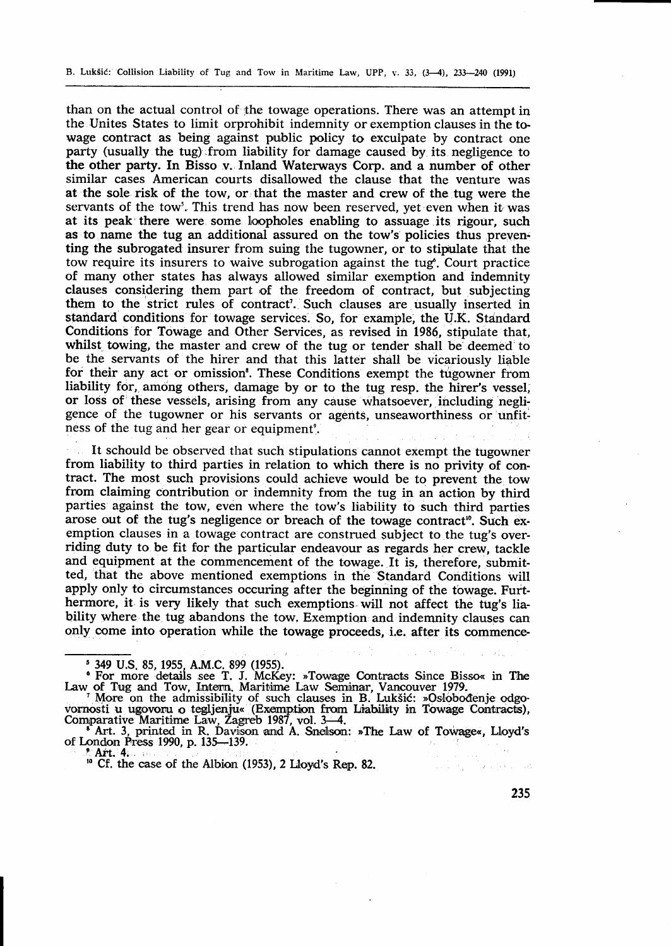than on the actual control of fhe towage operations. There was an attempt in the Unites States to limit orprohibit indemnity or exemption clauses in the towage contract as being against public policy to exculpate by contract one party (usually the tug).from liability for damage caused by its. negligence to the other party. In Bisso v. Inland Waterways Corp. and a number of other similar cases American courts disallowed the clause that the venture was at the sole risk of the tow, or that the master and crew of the tug were the servants of the tow'. This trend has now been reserved, yet even when it was at its peak there were some loopholes enabling to assuage its rigour, such as to name the tug an additional assured on the tow's policies thus preventing the subrogated insurer from suing the tugowner, or to stipulate that the tow require its insurers to waive subrogation against the tug<sup>6</sup>. Court practice of many other states has always allowed similar exemption and indemnity clauses considering them part of the freedom of contract, but subjecting them to the strict rules of contract'. Such clauses are usually inserted in standard conditions for towage services. So, for example, the U.K. Standard Conditions for Towage and Other Services, as revised in 1986, stipulate that, whilst towing, the master and crew of the tug or tender shall be deemed to be the servants of the hirer and that this latter shall be vicariously liable for their any act or omission'. These Conditions exempt the tugowner from liability for, among others, damage by or to the tug resp. the hirer's vessel, or loss of these vessels, arising from any cause whatsoever, including negligence of the tugowner or his servants or agents, unseaworthiness or unfitness of the tug and her gear or equipment<sup>9</sup>.

It schould be observed that such stipulations cannot exempt the tugowner from liability to third parties in relation to which there is no privity of contract. The most such provisions could achieve would be to prevent the tow from claiming contribution or indemnity from the tug in an action by third parties against the tow, even where the tow's liabitity to such third parties arose out of the tug's negligence or breach of the towage contract<sup>10</sup>. Such exemption clauses in a towage contract are construed subject to the tug's overriding duty to be fit for the particular endeavour as regards her crew, tackle and equipment at the commencement of the towage. If is, therefore, submitted, that the above mentioned exemptions in the Standard Conditions will apply only to circumstances occuring after the beginning of the towage. Furthermore, it is very likely that such exemptions will not affect the tug's liability where the tug abandons the tow. Exemption and indemnity clauses can only come into operation while the towage proceeds, i.e. after its commence-

vornosti u ugovoru o tegljenju« (Exemption from Liability in Towage Contracts),<br>Comparative Maritime Law, Zagreb 1987, vol. 3—4.<br>
\* Art. 3, printed in R. Davison and A. Snelson: »The Law of Towage«, Lloyd's<br>
of London Pres

 $l$ ' Art.' 4i ,  $l$ 

235

هدايا فكالمعارض والمشار

s 349 U.S. 85, 1955, AM.C. 899 (1955).

<sup>&</sup>lt;sup>6</sup> For more details see T. J. McKey: »Towage Contracts Since Bisso« in The Law of Tug and Tow, Intern, Maritime Law Seminar, Vancouver 1979.<br>More on the admissibility of such clauses in B. Lukšić: »Oslobođenje odgo-<br>Warno

<sup>&</sup>lt;sup>10</sup> Cf. the case of the Albion (1953), 2 Lloyd's Rep. 82.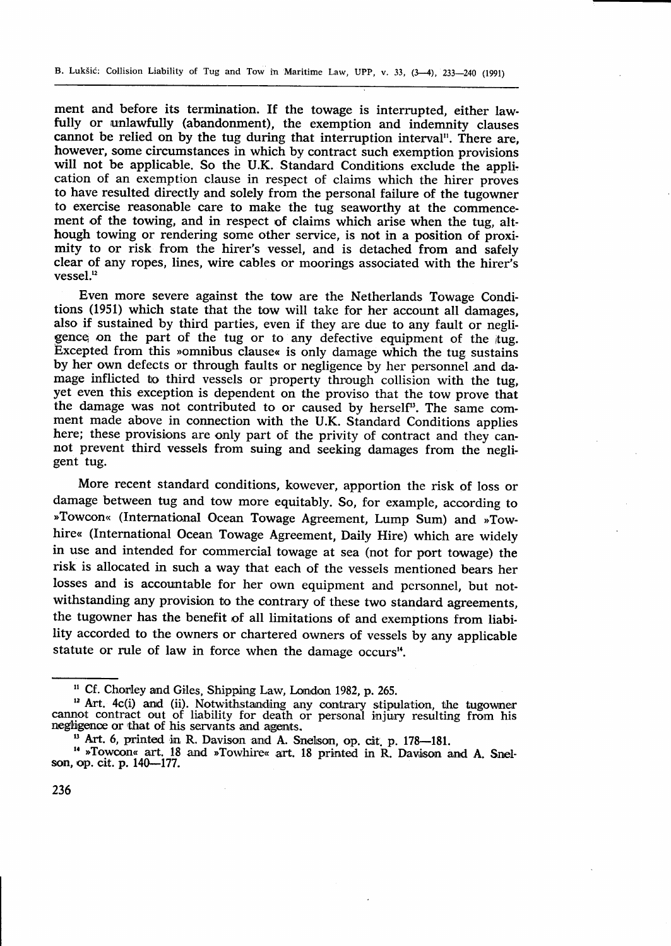ment and before its termination. If the towage is interrupted, either law- fully or unlawfully (abandonment), the exemption and indemnity clauses cannot be relied on by the tug during that interruption interval". There are, however, some circumstances in which by contract such exemption provisions will not be applicable. So the U.K. Standard Conditions exclude the appli, cation of an exemption clause in respect of claims which the hirer proves to have resulted directly and solely from the personal failure of the tugowner to exercise reasonable care to make the tug seaworthy at the commencement of the towing, and in respect of claims which arise when the tug, although towing or rendering some other service, is not in a position of proximity to or risk from the hirer's vessel, and is detached from and safely clear of any ropes, lines, wire cables or moorings associated with the hirer's  $vesel<sup>12</sup>$ 

Even more severe against the tow are the Netherlands Towage Conditions (1951) which state that the tow will take for her account all damages, also if sustained by third parties, even if they are due to any fault or negligence on the part of the tug or to any defective equipment of the tug. Excepted from this >omnibus clause< is only damage which the tug sustains by her own defects or through faults or negligence by her personnel and damage inflicted to third vessels or property through collision with the tug, yet even this exception is dependent on the proviso that the tow prove that the damage was not contributed to or caused by herself<sup>13</sup>. The same comment made above in connection with the U.K. Standard Conditions applies here; these provisions are only part of the privity of contract and they cannot prevent third vessels from suing and seeking damages from the negligent tug.

More recent standard conditions, kowever, apportion the risk of loss or damage between tug and tow more equitably. So, for example, according to »Towcon« (International Ocean Towage Agreement, Lump Sum) and »Towhire« (International Ocean Towage Agreement, Daily Hire) which are widely in use and intended for commercial towage at sea (not for port towage) the risk is allocated in such a way that each of the vessels mentioned bears her losses and is accountable for her own equipment and pcrsonnel, but notwithstanding any provision to the contrary of these two standard agreements, the tugowner has the benefit of all limitations of and exernptions from liability accorded to the owners or chartered owners of vessels by any applicable statute or rule of law in force when the damage occurs<sup> $u$ </sup>.

<sup>&</sup>lt;sup>11</sup> Cf. Chorley and Giles, Shipping Law, London 1982, p. 265.

<sup>&</sup>lt;sup>12</sup> Art. 4c(i) and (ii). Notwithstanding any contrary stipulation, the tugowner cannot contract out of liability for death or personal injury resulting from his negligence or that of his servants and agents.<br><sup>13</sup> Art. 6, printed in R. Davison and A. Snelson, op. cit. p. 178—181.

<sup>&</sup>lt;sup>14</sup> »Towcon« art. 18 and »Towhire« art. 18 printed in R. Davison and A. Snelson,op. cit. p. 140-177.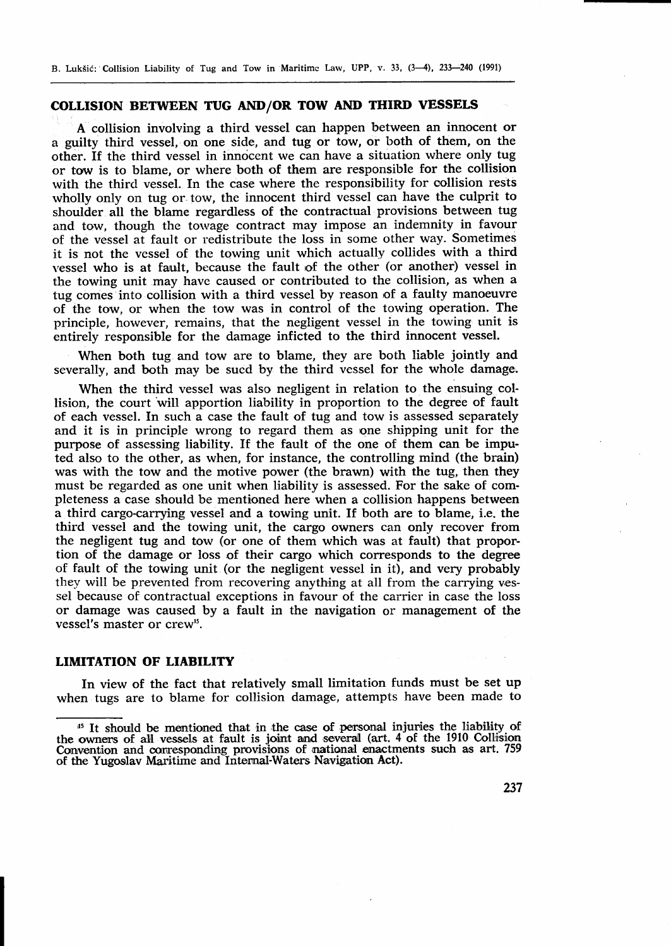B. Luk5i6: Collision Liability of Tug and Tow in Maritimc Law, UPP, v. 33, (3-4), 231-240 (1991)

#### coLLrsIoN BETWEEN TUG AND/OR TOW AND THIRD VESSELS

A collision involving a third vessel can happen between an innocent or a ggilty third vessel, on one side, and tug or tow, or both of them, on the other. If the third vessel in innocent we can have a situation where only tug or tow is to blame, or where both of them are responsible for the collision with the third vessel. In the case where the responsibility for collision rests wholly only on tug or tow, the innocent third vessel can have the culprit to shoulder all the blame regardless of the contractual provisions between tug and tow, though the towage contract may impose an indemnity in favour of the vessel at fault or redistribute the loss in some other way. Sometimes it is not the vessel of the towing unit which actually collides with a third vessel who is at fault, because tfie fault of the other (or another) vessel in the towing unit may have caused or contributed to the collision, as when a tug comes into collision with a third vessel by reason of a faulty manoeuvre of the tow, or when the tow was in control of the towing operation. The principle, however, remains, that the negligent vessel in the towing unit is entirely responsible for the damage inficted to the third innocent vessel.

When both tug and tow are to blame, they are both liable jointly and severally, and both may be sued by the third vessel for the whole damage,.

When the third vessel was also negligent in relation to the ensuing collision, the court will apportion liability in proportion to the degree of fault of each vessel. In such a case the fault of tug and tow is assessed separately and it is in principle wrong to regard them as one shipping unit for the purpose of assessing liability. If the fault of the one of them can be imputed also to the other, as when, for instance, the controlling mind (the brain) was with the tow and the motive power (the brawn) with the tug, then they must be regarded as one unit when liability is assessed. For the sake of completeness a case should be mentioned here when a collision happens between a third cargo-carrying vessel and a towing unit. If both are to blame, i.e. the third vessel and the towing unit, the cargo owners can only recover from the negligent tug and tow (or one of them which was at fault) that proportion of the damage or loss of their cargo which corresponds to the degree of fault of the towing unit (or the negligent vessel in it), and very probably they will be prevented from recovering anything at all from the carrying vessel because of contractual exceptions in favour of the carrier in case the loss or damage was caused by a fault in the navigation or management of the vessel's master or crew".

# LIMITATION OF LIABILITY

In view of the fact that relatively small limitation funds must be set up when tugs are to blame for collision damage, attempts have been made to

<sup>&</sup>lt;sup>45</sup> It should be mentioned that in the case of personal injuries the liability of the owners of all vessels at fault is joint and several (art. 4 of the 1910 Collision Convention and corresponding provisions of mational enactments such as art. 759 of the Yugoslav Maritime and Internal-Waters Navigation Act).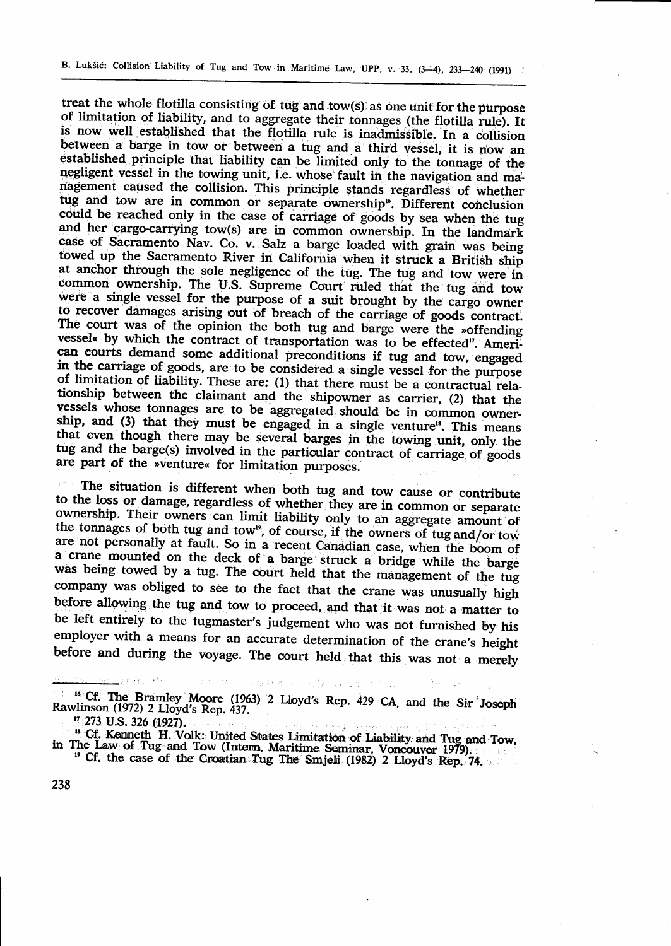treat the whole flotilla consisting of tug and tow(s) as one unit for the purpose<br>of limitation of liability, and to aggregate their tonnages (the flotilla rule). It<br>is now well established that the flotilla rule is inadmi between a barge in tow or between a tug and a third vessel, it is now an established principle that liability can be limited only to the tonnage of the established principle that liability can be limited only to the tonnage of the negligent vessel in the towing unit, i.e. whose fault in the navigation and ma-<br>nagement caused the collision. This principle stands regardless i. tug and tow are in common or separate ownership". Different conclusion<br>could be reached only in the case of carriage of goods by sea when the tu<br>and her cargo-carrying tow(s) are in common ownership. In the landmar and her cargo-carrying tow(s) are in common ownership. In the landmark case of Sacramento Nav. Co. v. Salz a barge loaded with grain was being towed up the Sacramento River in California when it struck a British ship at anchor through the sole negligence of the tug. The tug and tow were in common ownership. The U.S. Supreme Court ruled that the tug and tow were a single vessel for the purpose of a suit brought by the cargo owner to recover damages arising out of breach of the carriage of goods contract.<br>The court was of the opinion the both tug and barge were the »offending vessel« by which the contract of transportation was to be effected". American courts demand some additional preconditions if tug and tow, engaged in the carriage of goods, are to be considered a single vessel for the purpose<br>of limitation of liability. These are: (1) that there must be a contractual rela-<br>tionship between the claimant and the shipowner as carrier, that even though there may be several barges in the towing unit, only the<br>tug and the barge(s) involved in the particular contract of carriage of goods<br>are part of the »venture« for limitation purposes.

The situation is different when both tug and tow cause or contribute<br>to the loss or damage, regardless of whether they are in common or separate<br>ownership. Their owners can limit liability only to an aggregate amount of<br>th a crane mounted on the deck of a barge struck a bridge while the barge-was being towed by a tug. The court held that the management of the tug company was obliged to see to the fact that the crane was unusually high<br>before allowing the tug and tow to proceed, and that it was not a matter to be left entirely to the tugmaster's judgement who was not furnished by his employer with a means for an accurate determination of the crane's height before and during the voyage. The court held that this was not a merely

<sup>16</sup> Cf. The Bramley Moore (1963) 2 Lloyd's Rep. 429 CA, and the Sir Joseph Rawlinson (1972) 2 Lloyd's Rep. 437.

PANT POSSESSION

.<br>Taylokban lin

<sup>&</sup>lt;sup>17</sup> 273 U.S. 326 (1927).

of Cf. Kenneth H. Volk: United States Limitation of Liability and Tug and Tow,<br>in The Law of Tug and Tow (Intern. Maritime Seminar, Voncouver 1979).<br>" Cf. the case of the Croatian Tug The' Smjeli (1982) 2, Lloyd's Rep. 74.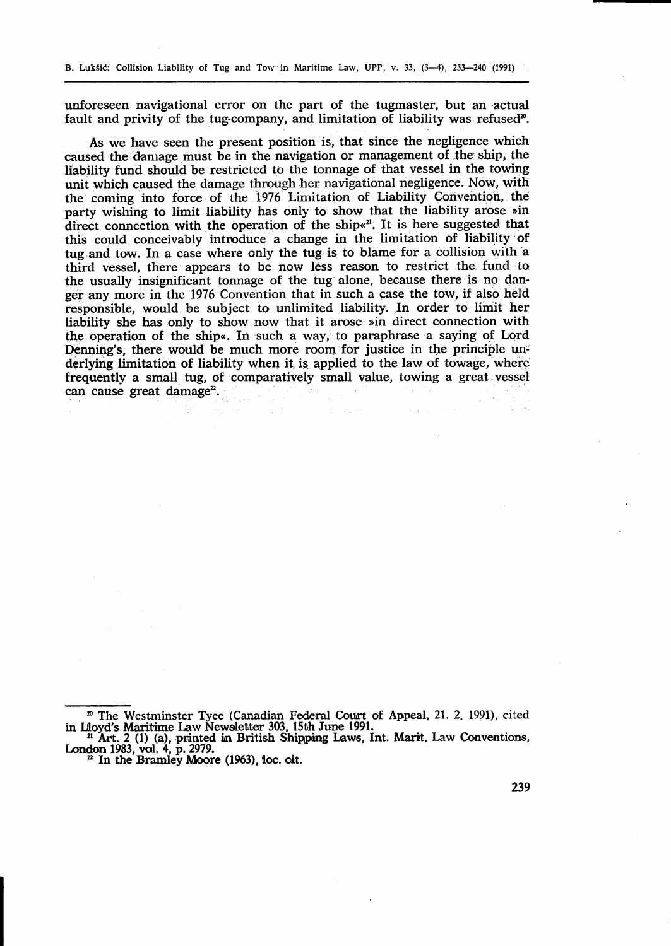unforeseen navigational error on the part of the tugmaster, but an actual fault and privity of the tug-company, and limitation of liability was refused<sup>20</sup>.

As we have seen the present position is, that since the negligence which caused the danrage must be in the navigation or management of the ship, the liabitity fund should be restricted to the tonnage of that vessel in the towing unit which caused the damage through her navigational negligence. Now, with the coming into force of the 1976 Limitation of Liability Convention, the party wishing to limit liability has only to show that the liability arose »in direct connection with the operation of the ship.<sup> $21$ </sup>. It is here suggested that this could conceivably introduce a change in the limitation of liability of tug and tow. In a case where only the tug is to blame for a collision with a third vessel, there appears to be now less reason to restrict the' fund to the usually insignificant tonnage of the tug alone, because there is no danger any more in the 1976 Convention that in such a case the tow, if also held responsible, would be subject to unlimited liability. In order to limit her liability she has only to show now that it arose »in direct connection with the operation of the ship<. In such a way,''to paraphrase a saying of Lord Denning's, there would be much more room for justice in the principle underlying limitation of liability when it is applied to the law of towage, where frequently a small tug, of comparatively small value, towing a great vessel  $can$  cause great damage<sup>22</sup>.

 $\label{eq:2} \mathcal{A} = \frac{1}{2\sqrt{2}}\left[ \partial \mathcal{A} \right] \left[ \left( \mathcal{A} \right) \right] \left[ \left( \mathcal{A} \right) \right]$ 

 $\mathbb{R}^d$  .

<sup>&</sup>lt;sup>20</sup> The Westminster Tyee (Canadian Federal Court of Appeal, 21. 2. 1991), cited in Lloyd's Maritime Law Newsletter 303, 15th June 1991.<br><sup>21</sup> Art. 2 (1) (a), printed in British Shipping Laws, Int. Marit. Law Conventions,

London 1983, vol. 4, p. 2979.  $\frac{2}{10}$ <br> $\frac{2}{10}$  In the Bramley Moore (1963), loc. oit.